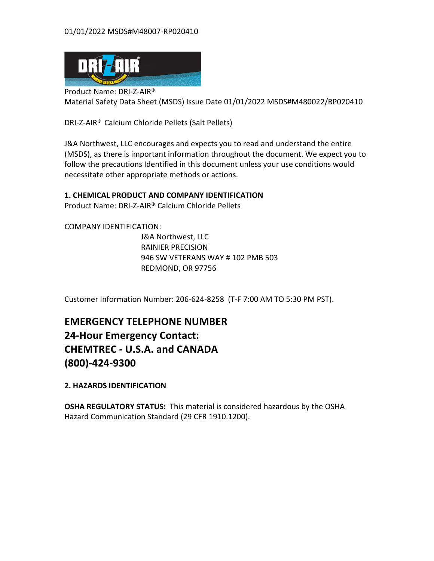

Product Name: DRI-Z-AIR® Material Safety Data Sheet (MSDS) Issue Date 01/01/2022 MSDS#M480022/RP020410

DRI-Z-AIR<sup>®</sup> Calcium Chloride Pellets (Salt Pellets)

J&A Northwest, LLC encourages and expects you to read and understand the entire (MSDS), as there is important information throughout the document. We expect you to follow the precautions Identified in this document unless your use conditions would necessitate other appropriate methods or actions.

# **1. CHEMICAL PRODUCT AND COMPANY IDENTIFICATION**

Product Name: DRI-Z-AIR® Calcium Chloride Pellets

COMPANY IDENTIFICATION:

J&A Northwest, LLC RAINIER PRECISION 946 SW VETERANS WAY # 102 PMB 503 REDMOND, OR 97756

Customer Information Number: 206-624-8258 (T-F 7:00 AM TO 5:30 PM PST).

**EMERGENCY TELEPHONE NUMBER 24-Hour Emergency Contact: CHEMTREC - U.S.A. and CANADA (800)-424-9300** 

**2. HAZARDS IDENTIFICATION** 

**OSHA REGULATORY STATUS:** This material is considered hazardous by the OSHA Hazard Communication Standard (29 CFR 1910.1200).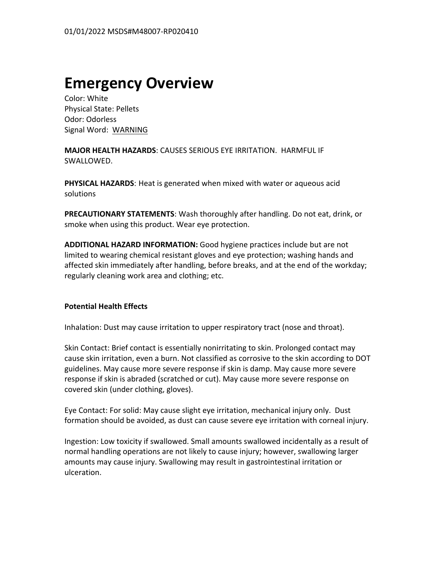# **Emergency Overview**

Color: White Physical State: Pellets Odor: Odorless Signal Word: WARNING

**MAJOR HEALTH HAZARDS: CAUSES SERIOUS EYE IRRITATION. HARMFUL IF** SWALLOWED.

**PHYSICAL HAZARDS:** Heat is generated when mixed with water or aqueous acid solutions

**PRECAUTIONARY STATEMENTS:** Wash thoroughly after handling. Do not eat, drink, or smoke when using this product. Wear eye protection.

**ADDITIONAL HAZARD INFORMATION:** Good hygiene practices include but are not limited to wearing chemical resistant gloves and eye protection; washing hands and affected skin immediately after handling, before breaks, and at the end of the workday; regularly cleaning work area and clothing; etc.

# **Potential Health Effects**

Inhalation: Dust may cause irritation to upper respiratory tract (nose and throat).

Skin Contact: Brief contact is essentially nonirritating to skin. Prolonged contact may cause skin irritation, even a burn. Not classified as corrosive to the skin according to DOT guidelines. May cause more severe response if skin is damp. May cause more severe response if skin is abraded (scratched or cut). May cause more severe response on covered skin (under clothing, gloves).

Eye Contact: For solid: May cause slight eye irritation, mechanical injury only. Dust formation should be avoided, as dust can cause severe eye irritation with corneal injury.

Ingestion: Low toxicity if swallowed. Small amounts swallowed incidentally as a result of normal handling operations are not likely to cause injury; however, swallowing larger amounts may cause injury. Swallowing may result in gastrointestinal irritation or ulceration.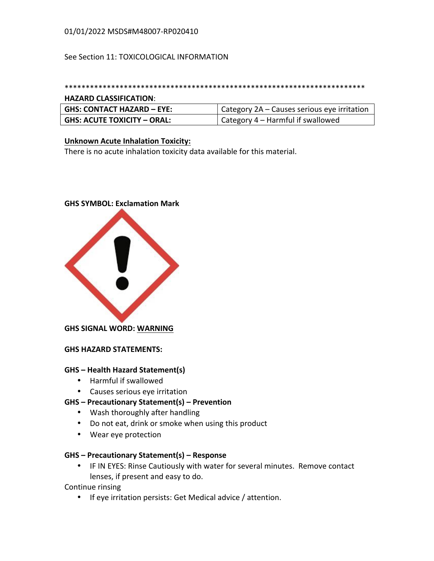# 01/01/2022 MSDS#M48007-RP020410

### See Section 11: TOXICOLOGICAL INFORMATION

### \*\*\*\*\*\*\*\*\*\*\*\*\*\*\*\*\*\*\*\*\*\*\*\*\*\*\*\*\*\*\*\*\*\*\*\*\*\*\*\*\*\*\*\*\*\*\*\*\*\*\*\*\*\*\*\*\*\*\*\*\*\*\*\*\*\*\*\*\*\*\*

### **HAZARD CLASSIFICATION**:

| GHS: CONTACT HAZARD – EYE:    | Category 2A – Causes serious eye irritation |
|-------------------------------|---------------------------------------------|
| GHS: ACUTE TOXICITY - ORAL: ! | Category 4 – Harmful if swallowed           |

### **Unknown Acute Inhalation Toxicity:**

There is no acute inhalation toxicity data available for this material.

# **GHS SYMBOL: Exclamation Mark**



**GHS SIGNAL WORD: WARNING** 

**GHS HAZARD STATEMENTS:** 

### **GHS – Health Hazard Statement(s)**

- Harmful if swallowed
- Causes serious eve irritation

### **GHS – Precautionary Statement(s) – Prevention**

- Wash thoroughly after handling
- Do not eat, drink or smoke when using this product
- Wear eye protection

### **GHS – Precautionary Statement(s) – Response**

• IF IN EYES: Rinse Cautiously with water for several minutes. Remove contact lenses, if present and easy to do.

Continue rinsing

• If eye irritation persists: Get Medical advice / attention.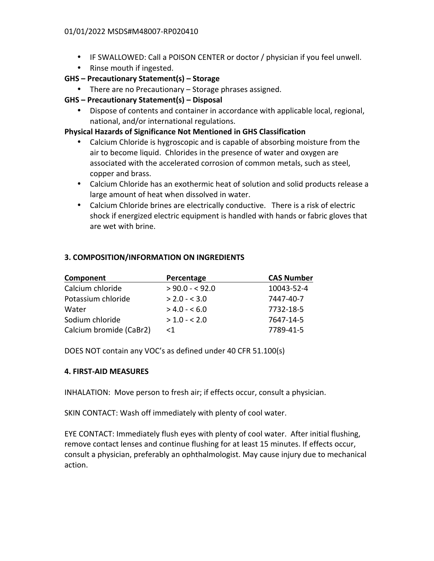- IF SWALLOWED: Call a POISON CENTER or doctor / physician if you feel unwell.
- Rinse mouth if ingested.
- **GHS – Precautionary Statement(s) – Storage**
	- There are no Precautionary  $-$  Storage phrases assigned.
- **GHS – Precautionary Statement(s) – Disposal**
	- Dispose of contents and container in accordance with applicable local, regional, national, and/or international regulations.

# **Physical Hazards of Significance Not Mentioned in GHS Classification**

- Calcium Chloride is hygroscopic and is capable of absorbing moisture from the air to become liquid. Chlorides in the presence of water and oxygen are associated with the accelerated corrosion of common metals, such as steel, copper and brass.
- Calcium Chloride has an exothermic heat of solution and solid products release a large amount of heat when dissolved in water.
- Calcium Chloride brines are electrically conductive. There is a risk of electric shock if energized electric equipment is handled with hands or fabric gloves that are wet with brine.

# **3. COMPOSITION/INFORMATION ON INGREDIENTS**

| Component               | Percentage      | <b>CAS Number</b> |
|-------------------------|-----------------|-------------------|
| Calcium chloride        | $> 90.0 - 92.0$ | 10043-52-4        |
| Potassium chloride      | $> 2.0 - 5.0$   | 7447-40-7         |
| Water                   | $> 4.0 - 6.0$   | 7732-18-5         |
| Sodium chloride         | $> 1.0 - 2.0$   | 7647-14-5         |
| Calcium bromide (CaBr2) | $<$ 1           | 7789-41-5         |

DOES NOT contain any VOC's as defined under 40 CFR 51.100(s)

# **4. FIRST-AID MEASURES**

INHALATION: Move person to fresh air; if effects occur, consult a physician.

SKIN CONTACT: Wash off immediately with plenty of cool water.

EYE CONTACT: Immediately flush eyes with plenty of cool water. After initial flushing, remove contact lenses and continue flushing for at least 15 minutes. If effects occur, consult a physician, preferably an ophthalmologist. May cause injury due to mechanical action.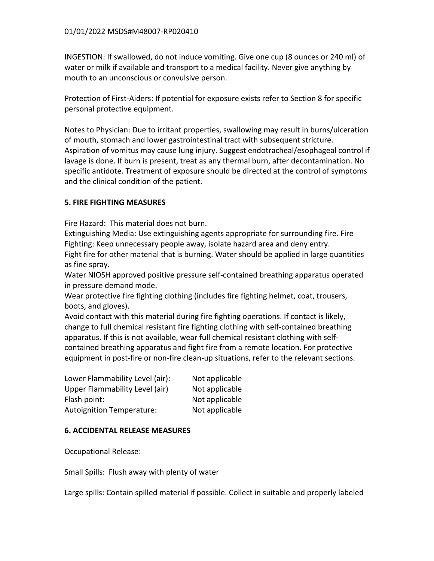INGESTION: If swallowed, do not induce vomiting. Give one cup (8 ounces or 240 ml) of water or milk if available and transport to a medical facility. Never give anything by mouth to an unconscious or convulsive person.

Protection of First-Aiders: If potential for exposure exists refer to Section 8 for specific personal protective equipment.

Notes to Physician: Due to irritant properties, swallowing may result in burns/ulceration of mouth, stomach and lower gastrointestinal tract with subsequent stricture. Aspiration of vomitus may cause lung injury. Suggest endotracheal/esophageal control if lavage is done. If burn is present, treat as any thermal burn, after decontamination. No specific antidote. Treatment of exposure should be directed at the control of symptoms and the clinical condition of the patient.

# **5. FIRE FIGHTING MEASURES**

Fire Hazard: This material does not burn.

Extinguishing Media: Use extinguishing agents appropriate for surrounding fire. Fire Fighting: Keep unnecessary people away, isolate hazard area and deny entry. Fight fire for other material that is burning. Water should be applied in large quantities

as fine spray.

Water NIOSH approved positive pressure self-contained breathing apparatus operated in pressure demand mode.

Wear protective fire fighting clothing (includes fire fighting helmet, coat, trousers, boots, and gloves).

Avoid contact with this material during fire fighting operations. If contact is likely, change to full chemical resistant fire fighting clothing with self-contained breathing apparatus. If this is not available, wear full chemical resistant clothing with selfcontained breathing apparatus and fight fire from a remote location. For protective equipment in post-fire or non-fire clean-up situations, refer to the relevant sections.

| Lower Flammability Level (air):  | Not applicable |
|----------------------------------|----------------|
| Upper Flammability Level (air)   | Not applicable |
| Flash point:                     | Not applicable |
| <b>Autoignition Temperature:</b> | Not applicable |

# **6. ACCIDENTAL RELEASE MEASURES**

Occupational Release:

Small Spills: Flush away with plenty of water

Large spills: Contain spilled material if possible. Collect in suitable and properly labeled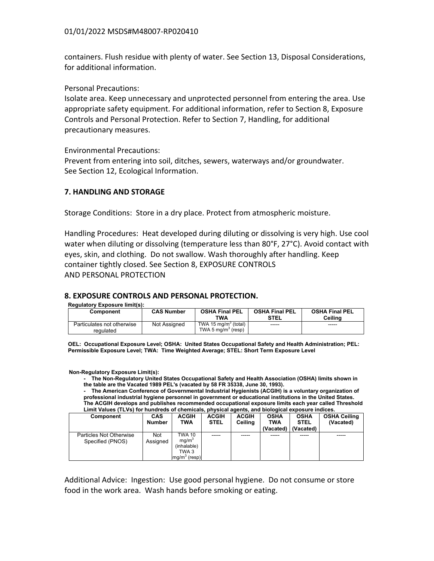containers. Flush residue with plenty of water. See Section 13, Disposal Considerations, for additional information. Ur auditional information.

**Personal Precautions: Personal Precautions:**  $\blacksquare$ 

Isolate area. Keep unnecessary and unprotected personnel from entering the area. Use appropriate safety equipment. For additional information, refer to Section 8, Exposure Controls and Personal Protection. Refer to Section 7, Handling, for additional precautionary measures. ゚ 1 Small and large spills: Contain spilled material if possible. Collect in suitable and properly labeled containers. Flush

Environmental Precautions:

Prevent from entering into soil, ditches, sewers, waterways and/or groundwater. See Section 12, Ecological Information. ee section 12, Ecological

#### **7. HANDLING AND STORAGE** . HANDLING AND STORAGE, waterways and or groundwater. See Section 12, Ecological Information. See Section 12, E

Storage Conditions: Store in a dry place. Protect from atmospheric moisture.

Handling Procedures: Heat developed during diluting or dissolving is very high. Use cool water when diluting or dissolving (temperature less than 80°F, 27°C). Avoid contact with eyes, skin, and clothing. Do not swallow. Wash thoroughly after handling. Keep container tightly closed. See Section 8, EXPOSURE CONTROLS AND PERSONAL PROTECTION **Example 20 Handling Procedures:** Heat developed during diluting or dissolving is very high. Use cool water when yes, skin, and clothing. Bo not swanow, wash thoroughly after handling, Rec  $\mathbf{I}$ 

#### **8. EXPOSURE CONTROLS AND PERSONAL PROTECTION.** ļ

**Regulatory Exposure limit(s):**

| Component                               | <b>CAS Number</b> | <b>OSHA Final PEL</b><br>TWA                   | <b>OSHA Final PEL</b><br><b>STEL</b> | <b>OSHA Final PEL</b><br>Ceilina |
|-----------------------------------------|-------------------|------------------------------------------------|--------------------------------------|----------------------------------|
| Particulates not otherwise<br>regulated | Not Assigned      | TWA 15 $ma/m3$ (total)<br>TWA 5 $ma/m3$ (resp) | -----                                | ------                           |

**OEL: Occupational Exposure Level; OSHA: United States Occupational Safety and Health Administration; PEL: PELADOWTM PREMIER SNOW AND ICE MELTER CALCIUM CHLORIDE**  OEL: Occupational Exposure Level; OSHA: Onited States Occupational Safety and Health Adili<br>Permissible Exposure Level; TWA: Time Weighted Average; STEL: Short Term Exposure Level **\_\_\_\_\_\_\_\_\_\_\_\_\_\_\_\_\_\_\_\_\_\_\_\_\_\_\_\_\_\_\_\_\_\_\_\_\_\_\_\_\_\_\_\_\_\_\_\_\_\_\_\_\_\_\_\_\_\_\_\_\_\_\_\_\_\_\_\_\_\_\_\_\_\_\_\_\_\_\_\_\_\_\_\_\_\_\_\_\_\_\_\_\_\_\_\_\_**

**Non-Regulatory Exposure Limit(s):**

**Print date:** 14-July-2009 Page: 3 of 9  **- The Non-Regulatory United States Occupational Safety and Health Association (OSHA) limits shown in the table are the Vacated 1989 PEL's (vacated by 58 FR 35338, June 30, 1993).** 

 **- The American Conference of Governmental Industrial Hygienists (ACGIH) is a voluntary organization of professional industrial hygiene personnel in government or educational institutions in the United States. The ACGIH develops and publishes recommended occupational exposure limits each year called Threshold Limit Values (TLVs) for hundreds of chemicals, physical agents, and biological exposure indices.**

| Component                                   | <b>CAS</b><br><b>Number</b> | <b>ACGIH</b><br><b>TWA</b>                                                                | <b>ACGIH</b><br><b>STEL</b> | <b>ACGIH</b><br>Ceiling | <b>OSHA</b><br>TWA | <b>OSHA</b><br><b>STEL</b> | <b>OSHA Ceiling</b><br>(Vacated) |
|---------------------------------------------|-----------------------------|-------------------------------------------------------------------------------------------|-----------------------------|-------------------------|--------------------|----------------------------|----------------------------------|
|                                             |                             |                                                                                           |                             |                         | (Vacated)          | (Vacated)                  |                                  |
| Particles Not Otherwise<br>Specified (PNOS) | Not<br>Assigned             | <b>TWA 10</b><br>ma/m <sup>3</sup><br>(inhalable)<br>TWA 3<br>mq/m <sup>3</sup><br>(resp) | -----                       |                         |                    | -----                      |                                  |

Additional Advice: Ingestion: Use good personal hygiene. Do not consume or store food in the work area. Wash hands before smoking or eating.  below the normalizar requirements or guidelines. If there are no applicable exposure limit requirements or guidelines,  $\frac{1}{2}$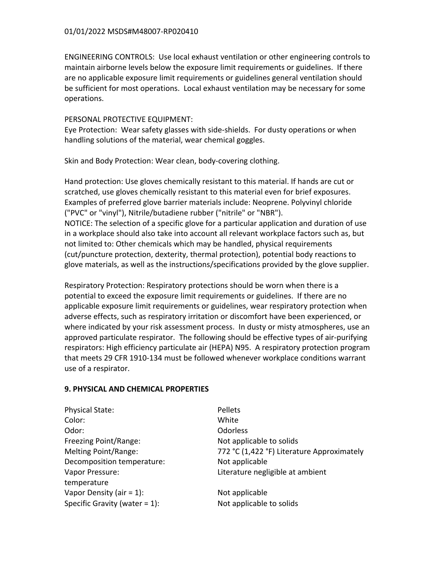ENGINEERING CONTROLS: Use local exhaust ventilation or other engineering controls to maintain airborne levels below the exposure limit requirements or guidelines. If there are no applicable exposure limit requirements or guidelines general ventilation should be sufficient for most operations. Local exhaust ventilation may be necessary for some operations.

### PERSONAL PROTECTIVE EQUIPMENT:

Eye Protection: Wear safety glasses with side-shields. For dusty operations or when handling solutions of the material, wear chemical goggles.

Skin and Body Protection: Wear clean, body-covering clothing.

Hand protection: Use gloves chemically resistant to this material. If hands are cut or scratched, use gloves chemically resistant to this material even for brief exposures. Examples of preferred glove barrier materials include: Neoprene. Polyvinyl chloride ("PVC" or "vinyl"), Nitrile/butadiene rubber ("nitrile" or "NBR"). NOTICE: The selection of a specific glove for a particular application and duration of use in a workplace should also take into account all relevant workplace factors such as, but not limited to: Other chemicals which may be handled, physical requirements (cut/puncture protection, dexterity, thermal protection), potential body reactions to glove materials, as well as the instructions/specifications provided by the glove supplier.

Respiratory Protection: Respiratory protections should be worn when there is a potential to exceed the exposure limit requirements or guidelines. If there are no applicable exposure limit requirements or guidelines, wear respiratory protection when adverse effects, such as respiratory irritation or discomfort have been experienced, or where indicated by your risk assessment process. In dusty or misty atmospheres, use an approved particulate respirator. The following should be effective types of air-purifying respirators: High efficiency particulate air (HEPA) N95. A respiratory protection program that meets 29 CFR 1910-134 must be followed whenever workplace conditions warrant use of a respirator.

# **9. PHYSICAL AND CHEMICAL PROPERTIES**

| <b>Physical State:</b>           | Pellets                                    |
|----------------------------------|--------------------------------------------|
| Color:                           | White                                      |
| Odor:                            | <b>Odorless</b>                            |
| Freezing Point/Range:            | Not applicable to solids                   |
| Melting Point/Range:             | 772 °C (1,422 °F) Literature Approximately |
| Decomposition temperature:       | Not applicable                             |
| Vapor Pressure:                  | Literature negligible at ambient           |
| temperature                      |                                            |
| Vapor Density (air = $1$ ):      | Not applicable                             |
| Specific Gravity (water $= 1$ ): | Not applicable to solids                   |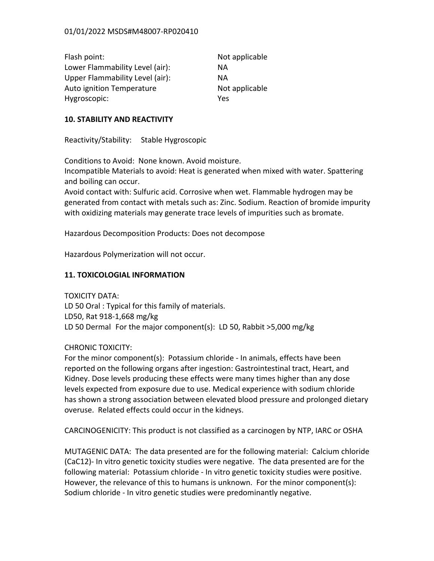| Flash point:                    | Not applicable |
|---------------------------------|----------------|
| Lower Flammability Level (air): | ΝA             |
| Upper Flammability Level (air): | ΝA             |
| Auto ignition Temperature       | Not applicable |
| Hygroscopic:                    | Yes            |

### **10. STABILITY AND REACTIVITY**

Reactivity/Stability: Stable Hygroscopic

Conditions to Avoid: None known. Avoid moisture. Incompatible Materials to avoid: Heat is generated when mixed with water. Spattering and boiling can occur.

Avoid contact with: Sulfuric acid. Corrosive when wet. Flammable hydrogen may be generated from contact with metals such as: Zinc. Sodium. Reaction of bromide impurity with oxidizing materials may generate trace levels of impurities such as bromate.

Hazardous Decomposition Products: Does not decompose

Hazardous Polymerization will not occur.

# **11. TOXICOLOGIAL INFORMATION**

TOXICITY DATA: LD 50 Oral : Typical for this family of materials. LD50, Rat 918-1,668 mg/kg LD 50 Dermal For the major component(s): LD 50, Rabbit >5,000 mg/kg

CHRONIC TOXICITY:

For the minor component(s): Potassium chloride - In animals, effects have been reported on the following organs after ingestion: Gastrointestinal tract, Heart, and Kidney. Dose levels producing these effects were many times higher than any dose levels expected from exposure due to use. Medical experience with sodium chloride has shown a strong association between elevated blood pressure and prolonged dietary overuse. Related effects could occur in the kidneys.

CARCINOGENICITY: This product is not classified as a carcinogen by NTP, IARC or OSHA

MUTAGENIC DATA: The data presented are for the following material: Calcium chloride (CaC12)- In vitro genetic toxicity studies were negative. The data presented are for the following material: Potassium chloride - In vitro genetic toxicity studies were positive. However, the relevance of this to humans is unknown. For the minor component(s): Sodium chloride - In vitro genetic studies were predominantly negative.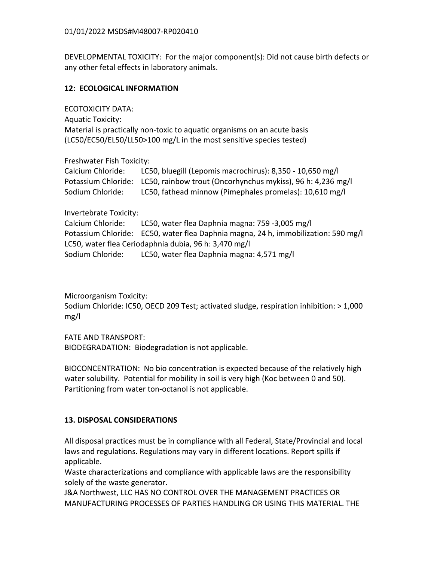DEVELOPMENTAL TOXICITY: For the major component(s): Did not cause birth defects or any other fetal effects in laboratory animals.

# **12: ECOLOGICAL INFORMATION**

ECOTOXICITY DATA:

Aquatic Toxicity: Material is practically non-toxic to aquatic organisms on an acute basis (LC50/EC50/EL50/LL50>100 mg/L in the most sensitive species tested)

### Freshwater Fish Toxicity:

| Calcium Chloride: | LC50, bluegill (Lepomis macrochirus): 8,350 - 10,650 mg/l                       |
|-------------------|---------------------------------------------------------------------------------|
|                   | Potassium Chloride: LC50, rainbow trout (Oncorhynchus mykiss), 96 h: 4,236 mg/l |
| Sodium Chloride:  | LC50, fathead minnow (Pimephales promelas): 10,610 mg/l                         |

Invertebrate Toxicity:

Calcium Chloride: LC50, water flea Daphnia magna: 759 -3,005 mg/l Potassium Chloride: EC50, water flea Daphnia magna, 24 h, immobilization: 590 mg/l LC50, water flea Ceriodaphnia dubia, 96 h: 3,470 mg/l Sodium Chloride: LC50, water flea Daphnia magna: 4,571 mg/l

Microorganism Toxicity:

Sodium Chloride: IC50, OECD 209 Test; activated sludge, respiration inhibition: > 1,000 mg/l 

FATE AND TRANSPORT:

BIODEGRADATION: Biodegradation is not applicable.

BIOCONCENTRATION: No bio concentration is expected because of the relatively high water solubility. Potential for mobility in soil is very high (Koc between 0 and 50). Partitioning from water ton-octanol is not applicable.

# **13. DISPOSAL CONSIDERATIONS**

All disposal practices must be in compliance with all Federal, State/Provincial and local laws and regulations. Regulations may vary in different locations. Report spills if applicable. 

Waste characterizations and compliance with applicable laws are the responsibility solely of the waste generator.

J&A Northwest, LLC HAS NO CONTROL OVER THE MANAGEMENT PRACTICES OR MANUFACTURING PROCESSES OF PARTIES HANDLING OR USING THIS MATERIAL. THE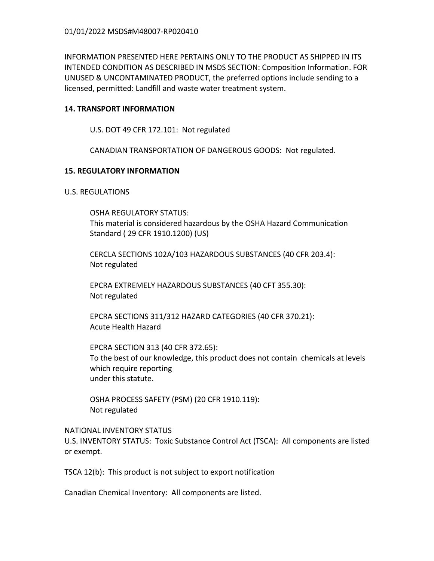INFORMATION PRESENTED HERE PERTAINS ONLY TO THE PRODUCT AS SHIPPED IN ITS INTENDED CONDITION AS DESCRIBED IN MSDS SECTION: Composition Information. FOR UNUSED & UNCONTAMINATED PRODUCT, the preferred options include sending to a licensed, permitted: Landfill and waste water treatment system.

# **14. TRANSPORT INFORMATION**

U.S. DOT 49 CFR 172.101: Not regulated

CANADIAN TRANSPORTATION OF DANGEROUS GOODS: Not regulated.

# **15. REGULATORY INFORMATION**

# U.S. REGULATIONS

OSHA REGULATORY STATUS: This material is considered hazardous by the OSHA Hazard Communication Standard ( 29 CFR 1910.1200) (US)

CERCLA SECTIONS 102A/103 HAZARDOUS SUBSTANCES (40 CFR 203.4): Not regulated

EPCRA EXTREMELY HAZARDOUS SUBSTANCES (40 CFT 355.30): Not regulated

EPCRA SECTIONS 311/312 HAZARD CATEGORIES (40 CFR 370.21): Acute Health Hazard

EPCRA SECTION 313 (40 CFR 372.65): To the best of our knowledge, this product does not contain chemicals at levels which require reporting under this statute.

OSHA PROCESS SAFETY (PSM) (20 CFR 1910.119): Not regulated

# **NATIONAL INVENTORY STATUS**

U.S. INVENTORY STATUS: Toxic Substance Control Act (TSCA): All components are listed or exempt.

TSCA 12(b): This product is not subject to export notification

Canadian Chemical Inventory: All components are listed.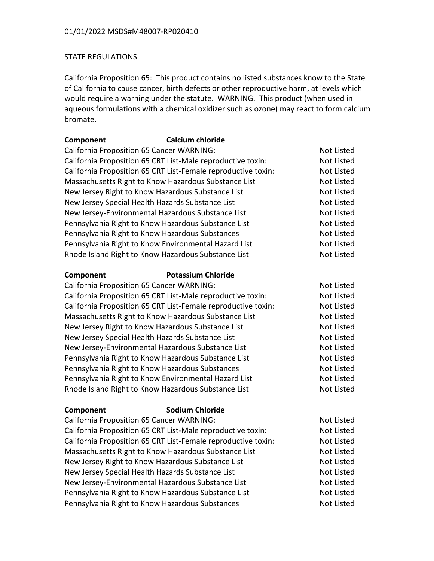# STATE REGULATIONS

California Proposition 65: This product contains no listed substances know to the State of California to cause cancer, birth defects or other reproductive harm, at levels which would require a warning under the statute. WARNING. This product (when used in aqueous formulations with a chemical oxidizer such as ozone) may react to form calcium bromate.

| Component | <b>Calcium chloride</b>                                       |                   |
|-----------|---------------------------------------------------------------|-------------------|
|           | <b>California Proposition 65 Cancer WARNING:</b>              | Not Listed        |
|           | California Proposition 65 CRT List-Male reproductive toxin:   | Not Listed        |
|           | California Proposition 65 CRT List-Female reproductive toxin: | <b>Not Listed</b> |
|           | Massachusetts Right to Know Hazardous Substance List          | <b>Not Listed</b> |
|           | New Jersey Right to Know Hazardous Substance List             | Not Listed        |
|           | New Jersey Special Health Hazards Substance List              | <b>Not Listed</b> |
|           | New Jersey-Environmental Hazardous Substance List             | <b>Not Listed</b> |
|           | Pennsylvania Right to Know Hazardous Substance List           | <b>Not Listed</b> |
|           | Pennsylvania Right to Know Hazardous Substances               | Not Listed        |
|           | Pennsylvania Right to Know Environmental Hazard List          | Not Listed        |
|           | Rhode Island Right to Know Hazardous Substance List           | Not Listed        |
| Component | <b>Potassium Chloride</b>                                     |                   |
|           | <b>California Proposition 65 Cancer WARNING:</b>              | Not Listed        |
|           | California Proposition 65 CRT List-Male reproductive toxin:   | Not Listed        |
|           | California Proposition 65 CRT List-Female reproductive toxin: | Not Listed        |
|           | Massachusetts Right to Know Hazardous Substance List          | <b>Not Listed</b> |
|           | New Jersey Right to Know Hazardous Substance List             | Not Listed        |
|           | New Jersey Special Health Hazards Substance List              | Not Listed        |
|           | New Jersey-Environmental Hazardous Substance List             | <b>Not Listed</b> |
|           | Pennsylvania Right to Know Hazardous Substance List           | Not Listed        |
|           | Pennsylvania Right to Know Hazardous Substances               | Not Listed        |
|           | Pennsylvania Right to Know Environmental Hazard List          | <b>Not Listed</b> |
|           | Rhode Island Right to Know Hazardous Substance List           | Not Listed        |
| Component | <b>Sodium Chloride</b>                                        |                   |
|           | California Proposition EE Cancer WAPNUNC                      |                   |

California Proposition 65 Cancer WARNING: Not Listed California Proposition 65 CRT List-Male reproductive toxin: Not Listed California Proposition 65 CRT List-Female reproductive toxin: Not Listed Massachusetts Right to Know Hazardous Substance List Not Listed New Jersey Right to Know Hazardous Substance List Not Listed New Jersey Special Health Hazards Substance List Not Listed Not Listed New Jersey-Environmental Hazardous Substance List Not Listed Pennsylvania Right to Know Hazardous Substance List Not Listed Pennsylvania Right to Know Hazardous Substances Not Listed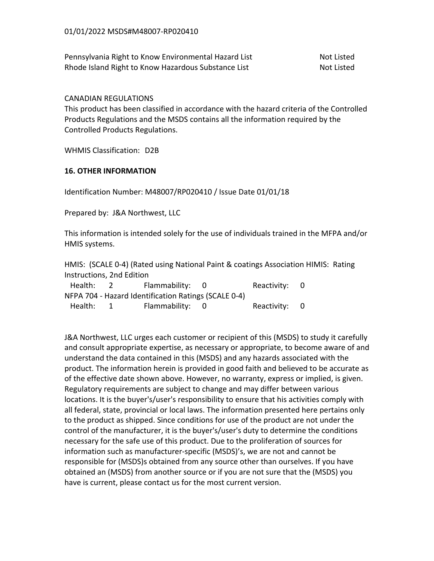Pennsylvania Right to Know Environmental Hazard List Not Listed Rhode Island Right to Know Hazardous Substance List Not Listed

### CANADIAN REGULATIONS

This product has been classified in accordance with the hazard criteria of the Controlled Products Regulations and the MSDS contains all the information required by the Controlled Products Regulations.

WHMIS Classification: D2B

### **16. OTHER INFORMATION**

Identification Number: M48007/RP020410 / Issue Date 01/01/18

Prepared by: J&A Northwest, LLC

This information is intended solely for the use of individuals trained in the MFPA and/or HMIS systems.

HMIS: (SCALE 0-4) (Rated using National Paint & coatings Association HIMIS: Rating Instructions, 2nd Edition

| Health: | Flammability: 0                                      | Reactivity: 0 |  |
|---------|------------------------------------------------------|---------------|--|
|         | NFPA 704 - Hazard Identification Ratings (SCALE 0-4) |               |  |
| Health: | Flammability: 0                                      | Reactivity: 0 |  |

J&A Northwest, LLC urges each customer or recipient of this (MSDS) to study it carefully and consult appropriate expertise, as necessary or appropriate, to become aware of and understand the data contained in this (MSDS) and any hazards associated with the product. The information herein is provided in good faith and believed to be accurate as of the effective date shown above. However, no warranty, express or implied, is given. Regulatory requirements are subject to change and may differ between various locations. It is the buyer's/user's responsibility to ensure that his activities comply with all federal, state, provincial or local laws. The information presented here pertains only to the product as shipped. Since conditions for use of the product are not under the control of the manufacturer, it is the buyer's/user's duty to determine the conditions necessary for the safe use of this product. Due to the proliferation of sources for information such as manufacturer-specific (MSDS)'s, we are not and cannot be responsible for (MSDS)s obtained from any source other than ourselves. If you have obtained an (MSDS) from another source or if you are not sure that the (MSDS) you have is current, please contact us for the most current version.